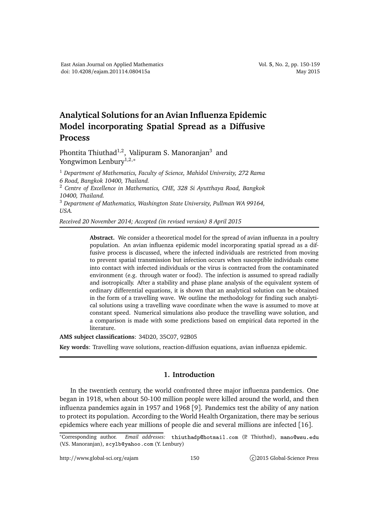## **Analytical Solutions for an Avian Influenza Epidemic Model incorporating Spatial Spread as a Diffusive Process**

Phontita Thiuthad $^{1,2}$ , Valipuram S. Manoranjan $^3\,$  and Yongwimon Lenbury<sup>1,2,∗</sup>

<sup>1</sup> *Department of Mathematics, Faculty of Science, Mahidol University, 272 Rama 6 Road, Bangkok 10400, Thailand.*

<sup>2</sup> *Centre of Excellence in Mathematics, CHE, 328 Si Ayutthaya Road, Bangkok 10400, Thailand.*

<sup>3</sup> *Department of Mathematics, Washington State University, Pullman WA 99164, USA.*

*Received 20 November 2014; Accepted (in revised version) 8 April 2015*

**Abstract.** We consider a theoretical model for the spread of avian influenza in a poultry population. An avian influenza epidemic model incorporating spatial spread as a diffusive process is discussed, where the infected individuals are restricted from moving to prevent spatial transmission but infection occurs when susceptible individuals come into contact with infected individuals or the virus is contracted from the contaminated environment (e.g. through water or food). The infection is assumed to spread radially and isotropically. After a stability and phase plane analysis of the equivalent system of ordinary differential equations, it is shown that an analytical solution can be obtained in the form of a travelling wave. We outline the methodology for finding such analytical solutions using a travelling wave coordinate when the wave is assumed to move at constant speed. Numerical simulations also produce the travelling wave solution, and a comparison is made with some predictions based on empirical data reported in the literature.

**AMS subject classifications**: 34D20, 35C07, 92B05

**Key words**: Travelling wave solutions, reaction-diffusion equations, avian influenza epidemic.

## **1. Introduction**

In the twentieth century, the world confronted three major influenza pandemics. One began in 1918, when about 50-100 million people were killed around the world, and then influenza pandemics again in 1957 and 1968 [9]. Pandemics test the ability of any nation to protect its population. According to the World Health Organization, there may be serious epidemics where each year millions of people die and several millions are infected [16].

<sup>&</sup>lt;sup>∗</sup>Corresponding author. *Email addresses*: thiuthadp@hotmail.com (P. Thiuthad), mano@wsu.edu (V.S. Manoranjan), scylb@yahoo.com (Y. Lenbury)